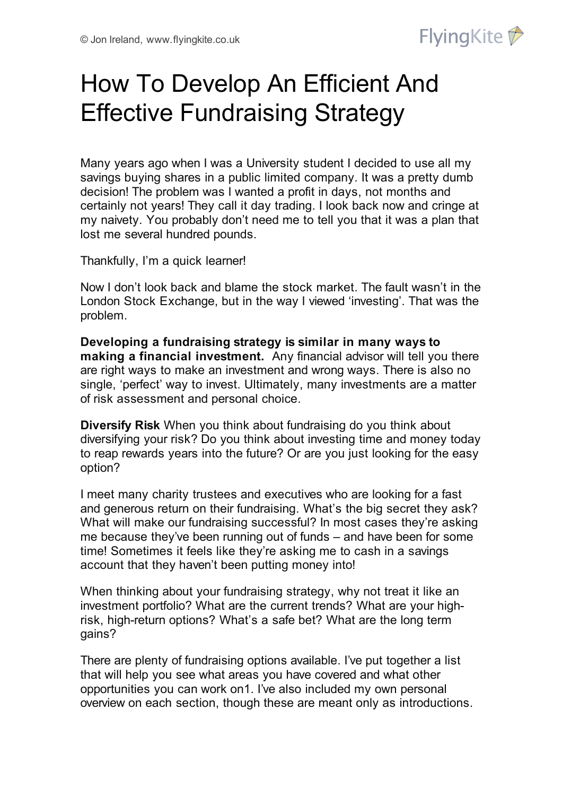

# How To Develop An Efficient And Effective Fundraising Strategy

Many years ago when I was a University student I decided to use all my savings buying shares in a public limited company. It was a pretty dumb decision! The problem was I wanted a profit in days, not months and certainly not years! They call it day trading. I look back now and cringe at my naivety. You probably don't need me to tell you that it was a plan that lost me several hundred pounds.

Thankfully, I'm a quick learner!

Now I don't look back and blame the stock market. The fault wasn't in the London Stock Exchange, but in the way I viewed 'investing'. That was the problem.

**Developing a fundraising strategy is similar in many ways to making a financial investment.** Any financial advisor will tell you there are right ways to make an investment and wrong ways. There is also no single, 'perfect' way to invest. Ultimately, many investments are a matter of risk assessment and personal choice.

**Diversify Risk** When you think about fundraising do you think about diversifying your risk? Do you think about investing time and money today to reap rewards years into the future? Or are you just looking for the easy option?

I meet many charity trustees and executives who are looking for a fast and generous return on their fundraising. What's the big secret they ask? What will make our fundraising successful? In most cases they're asking me because they've been running out of funds – and have been for some time! Sometimes it feels like they're asking me to cash in a savings account that they haven't been putting money into!

When thinking about your fundraising strategy, why not treat it like an investment portfolio? What are the current trends? What are your highrisk, high-return options? What's a safe bet? What are the long term gains?

There are plenty of fundraising options available. I've put together a list that will help you see what areas you have covered and what other opportunities you can work on1. I've also included my own personal overview on each section, though these are meant only as introductions.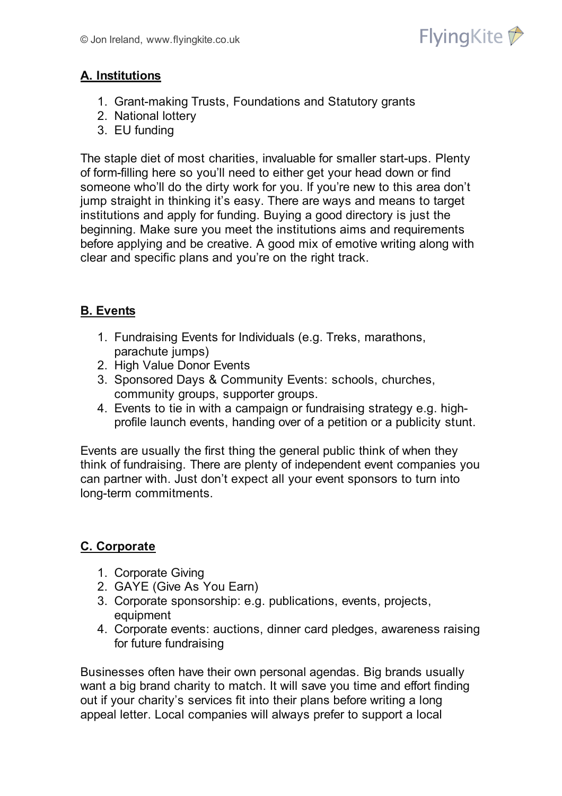

## **A. Institutions**

- 1. Grant-making Trusts, Foundations and Statutory grants
- 2. National lottery
- 3. EU funding

The staple diet of most charities, invaluable for smaller start-ups. Plenty of form-filling here so you'll need to either get your head down or find someone who'll do the dirty work for you. If you're new to this area don't jump straight in thinking it's easy. There are ways and means to target institutions and apply for funding. Buying a good directory is just the beginning. Make sure you meet the institutions aims and requirements before applying and be creative. A good mix of emotive writing along with clear and specific plans and you're on the right track.

### **B. Events**

- 1. Fundraising Events for Individuals (e.g. Treks, marathons, parachute jumps)
- 2. High Value Donor Events
- 3. Sponsored Days & Community Events: schools, churches, community groups, supporter groups.
- 4. Events to tie in with a campaign or fundraising strategy e.g. highprofile launch events, handing over of a petition or a publicity stunt.

Events are usually the first thing the general public think of when they think of fundraising. There are plenty of independent event companies you can partner with. Just don't expect all your event sponsors to turn into long-term commitments.

### **C. Corporate**

- 1. Corporate Giving
- 2. GAYE (Give As You Earn)
- 3. Corporate sponsorship: e.g. publications, events, projects, equipment
- 4. Corporate events: auctions, dinner card pledges, awareness raising for future fundraising

Businesses often have their own personal agendas. Big brands usually want a big brand charity to match. It will save you time and effort finding out if your charity's services fit into their plans before writing a long appeal letter. Local companies will always prefer to support a local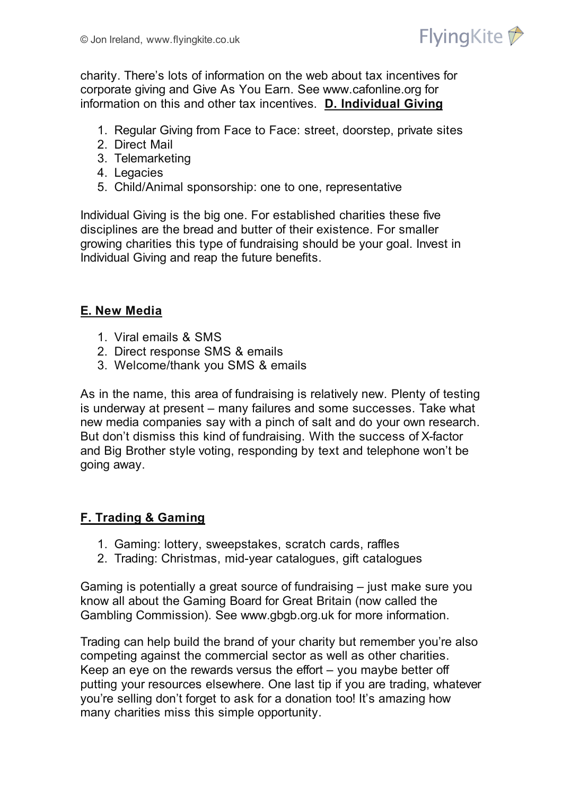

charity. There's lots of information on the web about tax incentives for corporate giving and Give As You Earn. See www.cafonline.org for information on this and other tax incentives. **D. Individual Giving**

- 1. Regular Giving from Face to Face: street, doorstep, private sites
- 2. Direct Mail
- 3. Telemarketing
- 4. Legacies
- 5. Child/Animal sponsorship: one to one, representative

Individual Giving is the big one. For established charities these five disciplines are the bread and butter of their existence. For smaller growing charities this type of fundraising should be your goal. Invest in Individual Giving and reap the future benefits.

#### **E. New Media**

- 1. Viral emails & SMS
- 2. Direct response SMS & emails
- 3. Welcome/thank you SMS & emails

As in the name, this area of fundraising is relatively new. Plenty of testing is underway at present – many failures and some successes. Take what new media companies say with a pinch of salt and do your own research. But don't dismiss this kind of fundraising. With the success of X-factor and Big Brother style voting, responding by text and telephone won't be going away.

# **F. Trading & Gaming**

- 1. Gaming: lottery, sweepstakes, scratch cards, raffles
- 2. Trading: Christmas, mid-year catalogues, gift catalogues

Gaming is potentially a great source of fundraising – just make sure you know all about the Gaming Board for Great Britain (now called the Gambling Commission). See www.gbgb.org.uk for more information.

Trading can help build the brand of your charity but remember you're also competing against the commercial sector as well as other charities. Keep an eye on the rewards versus the effort – you maybe better off putting your resources elsewhere. One last tip if you are trading, whatever you're selling don't forget to ask for a donation too! It's amazing how many charities miss this simple opportunity.